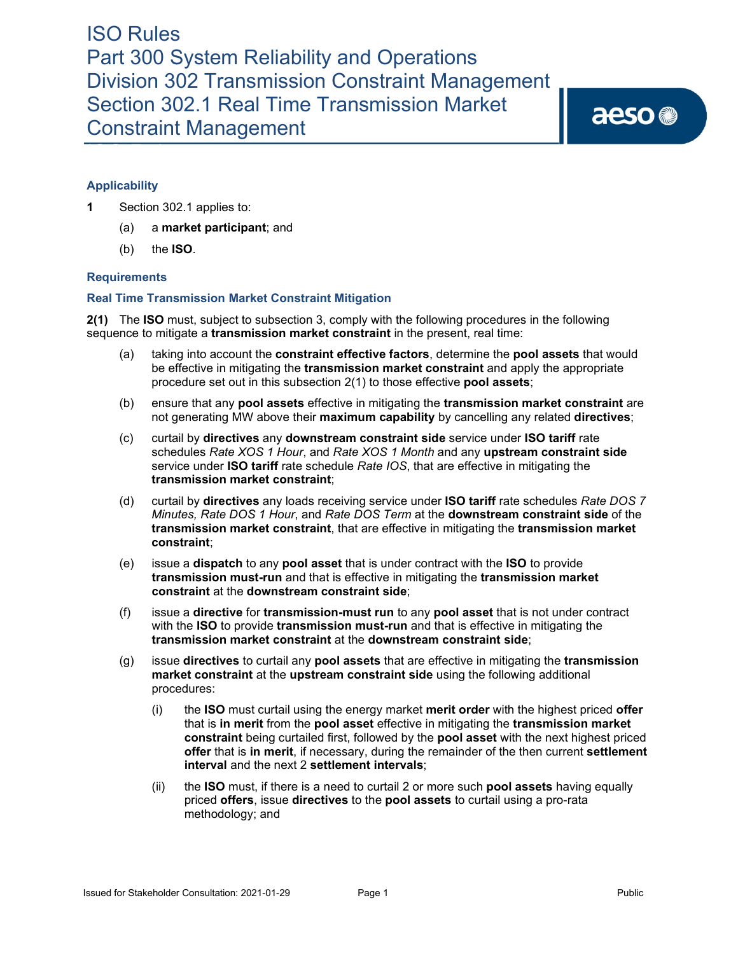aeso<sup>®</sup>

# **Applicability**

- **1** Section 302.1 applies to:
	- (a) a **market participant**; and
	- (b) the **ISO**.

# **Requirements**

# **Real Time Transmission Market Constraint Mitigation**

**2(1)** The **ISO** must, subject to subsection 3, comply with the following procedures in the following sequence to mitigate a **transmission market constraint** in the present, real time:

- (a) taking into account the **constraint effective factors**, determine the **pool assets** that would be effective in mitigating the **transmission market constraint** and apply the appropriate procedure set out in this subsection 2(1) to those effective **pool assets**;
- (b) ensure that any **pool assets** effective in mitigating the **transmission market constraint** are not generating MW above their **maximum capability** by cancelling any related **directives**;
- (c) curtail by **directives** any **downstream constraint side** service under **ISO tariff** rate schedules *Rate XOS 1 Hour*, and *Rate XOS 1 Month* and any **upstream constraint side** service under **ISO tariff** rate schedule *Rate IOS*, that are effective in mitigating the **transmission market constraint**;
- (d) curtail by **directives** any loads receiving service under **ISO tariff** rate schedules *Rate DOS 7 Minutes, Rate DOS 1 Hour*, and *Rate DOS Term* at the **downstream constraint side** of the **transmission market constraint**, that are effective in mitigating the **transmission market constraint**;
- (e) issue a **dispatch** to any **pool asset** that is under contract with the **ISO** to provide **transmission must-run** and that is effective in mitigating the **transmission market constraint** at the **downstream constraint side**;
- (f) issue a **directive** for **transmission-must run** to any **pool asset** that is not under contract with the **ISO** to provide **transmission must-run** and that is effective in mitigating the **transmission market constraint** at the **downstream constraint side**;
- (g) issue **directives** to curtail any **pool assets** that are effective in mitigating the **transmission market constraint** at the **upstream constraint side** using the following additional procedures:
	- (i) the **ISO** must curtail using the energy market **merit order** with the highest priced **offer** that is **in merit** from the **pool asset** effective in mitigating the **transmission market constraint** being curtailed first, followed by the **pool asset** with the next highest priced **offer** that is **in merit**, if necessary, during the remainder of the then current **settlement interval** and the next 2 **settlement intervals**;
	- (ii) the **ISO** must, if there is a need to curtail 2 or more such **pool assets** having equally priced **offers**, issue **directives** to the **pool assets** to curtail using a pro-rata methodology; and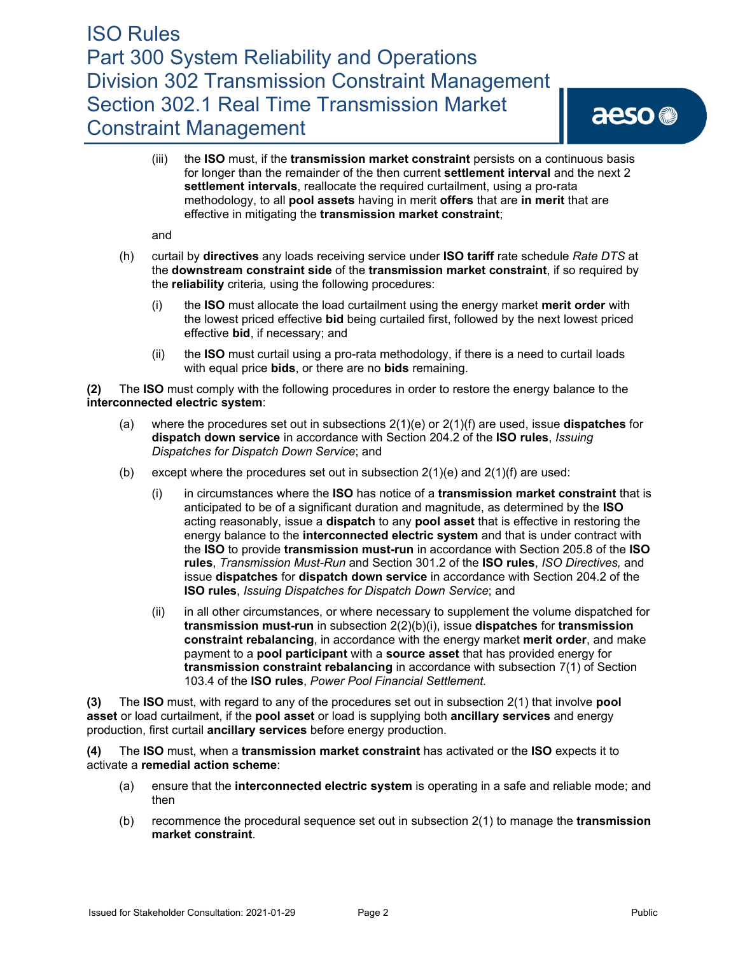(iii) the **ISO** must, if the **transmission market constraint** persists on a continuous basis for longer than the remainder of the then current **settlement interval** and the next 2 **settlement intervals**, reallocate the required curtailment, using a pro-rata methodology, to all **pool assets** having in merit **offers** that are **in merit** that are effective in mitigating the **transmission market constraint**;

and

- (h) curtail by **directives** any loads receiving service under **ISO tariff** rate schedule *Rate DTS* at the **downstream constraint side** of the **transmission market constraint**, if so required by the **reliability** criteria*,* using the following procedures:
	- (i) the **ISO** must allocate the load curtailment using the energy market **merit order** with the lowest priced effective **bid** being curtailed first, followed by the next lowest priced effective **bid**, if necessary; and
	- (ii) the **ISO** must curtail using a pro-rata methodology, if there is a need to curtail loads with equal price **bids**, or there are no **bids** remaining.

**(2)** The **ISO** must comply with the following procedures in order to restore the energy balance to the **interconnected electric system**:

- (a) where the procedures set out in subsections 2(1)(e) or 2(1)(f) are used, issue **dispatches** for **dispatch down service** in accordance with Section 204.2 of the **ISO rules**, *Issuing Dispatches for Dispatch Down Service*; and
- (b) except where the procedures set out in subsection  $2(1)(e)$  and  $2(1)(f)$  are used:
	- (i) in circumstances where the **ISO** has notice of a **transmission market constraint** that is anticipated to be of a significant duration and magnitude, as determined by the **ISO** acting reasonably, issue a **dispatch** to any **pool asset** that is effective in restoring the energy balance to the **interconnected electric system** and that is under contract with the **ISO** to provide **transmission must-run** in accordance with Section 205.8 of the **ISO rules**, *Transmission Must-Run* and Section 301.2 of the **ISO rules**, *ISO Directives,* and issue **dispatches** for **dispatch down service** in accordance with Section 204.2 of the **ISO rules**, *Issuing Dispatches for Dispatch Down Service*; and
	- (ii) in all other circumstances, or where necessary to supplement the volume dispatched for **transmission must-run** in subsection 2(2)(b)(i), issue **dispatches** for **transmission constraint rebalancing**, in accordance with the energy market **merit order**, and make payment to a **pool participant** with a **source asset** that has provided energy for **transmission constraint rebalancing** in accordance with subsection 7(1) of Section 103.4 of the **ISO rules**, *Power Pool Financial Settlement.*

**(3)** The **ISO** must, with regard to any of the procedures set out in subsection 2(1) that involve **pool asset** or load curtailment, if the **pool asset** or load is supplying both **ancillary services** and energy production, first curtail **ancillary services** before energy production.

**(4)** The **ISO** must, when a **transmission market constraint** has activated or the **ISO** expects it to activate a **remedial action scheme**:

- (a) ensure that the **interconnected electric system** is operating in a safe and reliable mode; and then
- (b) recommence the procedural sequence set out in subsection 2(1) to manage the **transmission market constraint**.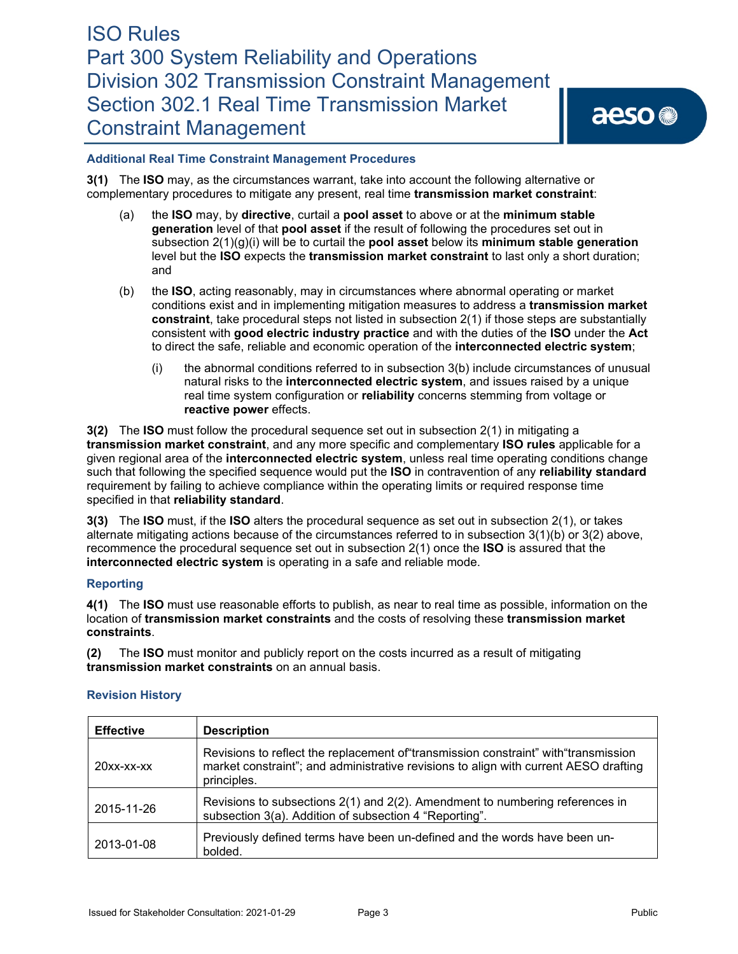# **Additional Real Time Constraint Management Procedures**

**3(1)** The **ISO** may, as the circumstances warrant, take into account the following alternative or complementary procedures to mitigate any present, real time **transmission market constraint**:

- (a) the **ISO** may, by **directive**, curtail a **pool asset** to above or at the **minimum stable generation** level of that **pool asset** if the result of following the procedures set out in subsection 2(1)(g)(i) will be to curtail the **pool asset** below its **minimum stable generation** level but the **ISO** expects the **transmission market constraint** to last only a short duration; and
- (b) the **ISO**, acting reasonably, may in circumstances where abnormal operating or market conditions exist and in implementing mitigation measures to address a **transmission market constraint**, take procedural steps not listed in subsection 2(1) if those steps are substantially consistent with **good electric industry practice** and with the duties of the **ISO** under the **Act** to direct the safe, reliable and economic operation of the **interconnected electric system**;
	- (i) the abnormal conditions referred to in subsection 3(b) include circumstances of unusual natural risks to the **interconnected electric system**, and issues raised by a unique real time system configuration or **reliability** concerns stemming from voltage or **reactive power** effects.

**3(2)** The **ISO** must follow the procedural sequence set out in subsection 2(1) in mitigating a **transmission market constraint**, and any more specific and complementary **ISO rules** applicable for a given regional area of the **interconnected electric system**, unless real time operating conditions change such that following the specified sequence would put the **ISO** in contravention of any **reliability standard** requirement by failing to achieve compliance within the operating limits or required response time specified in that **reliability standard**.

**3(3)** The **ISO** must, if the **ISO** alters the procedural sequence as set out in subsection 2(1), or takes alternate mitigating actions because of the circumstances referred to in subsection 3(1)(b) or 3(2) above, recommence the procedural sequence set out in subsection 2(1) once the **ISO** is assured that the **interconnected electric system** is operating in a safe and reliable mode.

# **Reporting**

**4(1)** The **ISO** must use reasonable efforts to publish, as near to real time as possible, information on the location of **transmission market constraints** and the costs of resolving these **transmission market constraints**.

**(2)** The **ISO** must monitor and publicly report on the costs incurred as a result of mitigating **transmission market constraints** on an annual basis.

# **Revision History**

| <b>Effective</b> | <b>Description</b>                                                                                                                                                                          |
|------------------|---------------------------------------------------------------------------------------------------------------------------------------------------------------------------------------------|
| $20xx$ -xx-xx    | Revisions to reflect the replacement of transmission constraint" with "transmission"<br>market constraint"; and administrative revisions to align with current AESO drafting<br>principles. |
| 2015-11-26       | Revisions to subsections 2(1) and 2(2). Amendment to numbering references in<br>subsection 3(a). Addition of subsection 4 "Reporting".                                                      |
| 2013-01-08       | Previously defined terms have been un-defined and the words have been un-<br>bolded.                                                                                                        |